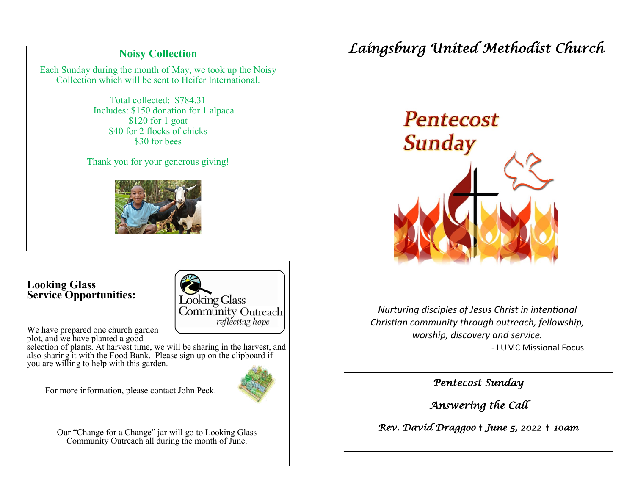### **Noisy Collection**

Each Sunday during the month of May, we took up the Noisy Collection which will be sent to Heifer International.

> Total collected: \$784.31 Includes: \$150 donation for 1 alpaca \$120 for 1 goat \$40 for 2 flocks of chicks \$30 for bees

Thank you for your generous giving!



### **Looking Glass Service Opportunities:**

Ī



We have prepared one church garden plot, and we have planted a good

selection of plants. At harvest time, we will be sharing in the harvest, and also sharing it with the Food Bank. Please sign up on the clipboard if you are willing to help with this garden.

For more information, please contact John Peck.

Our "Change for a Change" jar will go to Looking Glass Community Outreach all during the month of June.

# *Laingsburg United Methodist Church*



*Nurturing disciples of Jesus Christ in intentional Christian community through outreach, fellowship, worship, discovery and service.* - LUMC Missional Focus

*Pentecost Sunday* 

*Answering the Call* 

*Rev. David Draggoo* † *June 5, 2022* † *10am* 

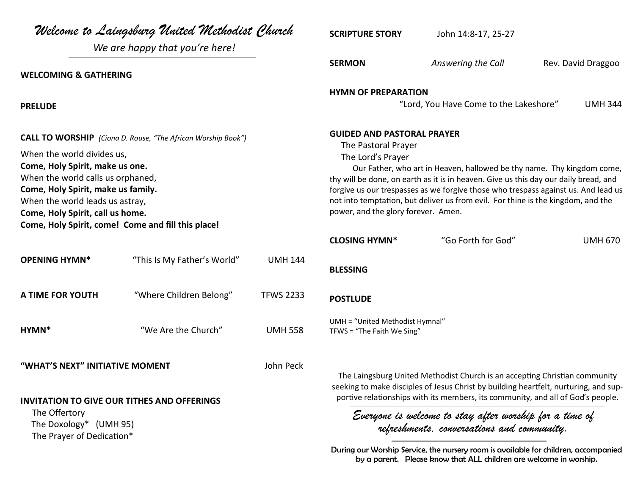| Welcome to Laingsburg United Methodist Church                                                                                                                                                                                                                         |                                |                  | <b>SCRIPTURE STORY</b>                                                                                                                                                                                                                                                                                                                                                                               | John 14:8-17, 25-27                                                                                                                                       |                    |
|-----------------------------------------------------------------------------------------------------------------------------------------------------------------------------------------------------------------------------------------------------------------------|--------------------------------|------------------|------------------------------------------------------------------------------------------------------------------------------------------------------------------------------------------------------------------------------------------------------------------------------------------------------------------------------------------------------------------------------------------------------|-----------------------------------------------------------------------------------------------------------------------------------------------------------|--------------------|
|                                                                                                                                                                                                                                                                       | We are happy that you're here! |                  |                                                                                                                                                                                                                                                                                                                                                                                                      |                                                                                                                                                           |                    |
| <b>WELCOMING &amp; GATHERING</b>                                                                                                                                                                                                                                      |                                |                  | <b>SERMON</b>                                                                                                                                                                                                                                                                                                                                                                                        | Answering the Call                                                                                                                                        | Rev. David Draggoo |
| <b>PRELUDE</b>                                                                                                                                                                                                                                                        |                                |                  | <b>HYMN OF PREPARATION</b><br><b>UMH 344</b><br>"Lord, You Have Come to the Lakeshore"                                                                                                                                                                                                                                                                                                               |                                                                                                                                                           |                    |
| <b>CALL TO WORSHIP</b> (Ciona D. Rouse, "The African Worship Book")                                                                                                                                                                                                   |                                |                  | <b>GUIDED AND PASTORAL PRAYER</b><br>The Pastoral Prayer                                                                                                                                                                                                                                                                                                                                             |                                                                                                                                                           |                    |
| When the world divides us,<br>Come, Holy Spirit, make us one.<br>When the world calls us orphaned,<br>Come, Holy Spirit, make us family.<br>When the world leads us astray,<br>Come, Holy Spirit, call us home.<br>Come, Holy Spirit, come! Come and fill this place! |                                |                  | The Lord's Prayer<br>Our Father, who art in Heaven, hallowed be thy name. Thy kingdom come,<br>thy will be done, on earth as it is in heaven. Give us this day our daily bread, and<br>forgive us our trespasses as we forgive those who trespass against us. And lead us<br>not into temptation, but deliver us from evil. For thine is the kingdom, and the<br>power, and the glory forever. Amen. |                                                                                                                                                           |                    |
|                                                                                                                                                                                                                                                                       |                                |                  | <b>CLOSING HYMN*</b>                                                                                                                                                                                                                                                                                                                                                                                 | "Go Forth for God"                                                                                                                                        | <b>UMH 670</b>     |
| <b>OPENING HYMN*</b>                                                                                                                                                                                                                                                  | "This Is My Father's World"    | <b>UMH 144</b>   | <b>BLESSING</b>                                                                                                                                                                                                                                                                                                                                                                                      |                                                                                                                                                           |                    |
| A TIME FOR YOUTH                                                                                                                                                                                                                                                      | "Where Children Belong"        | <b>TFWS 2233</b> | <b>POSTLUDE</b>                                                                                                                                                                                                                                                                                                                                                                                      |                                                                                                                                                           |                    |
| HYMN*                                                                                                                                                                                                                                                                 | "We Are the Church"            | <b>UMH 558</b>   | UMH = "United Methodist Hymnal"<br>TFWS = "The Faith We Sing"                                                                                                                                                                                                                                                                                                                                        |                                                                                                                                                           |                    |
| "WHAT'S NEXT" INITIATIVE MOMENT<br><b>INVITATION TO GIVE OUR TITHES AND OFFERINGS</b>                                                                                                                                                                                 |                                | John Peck        | The Laingsburg United Methodist Church is an accepting Christian community<br>seeking to make disciples of Jesus Christ by building heartfelt, nurturing, and sup-<br>portive relationships with its members, its community, and all of God's people.                                                                                                                                                |                                                                                                                                                           |                    |
| The Offertory<br>The Doxology* (UMH 95)<br>The Prayer of Dedication*                                                                                                                                                                                                  |                                |                  | Everyone is welcome to stay after worship for a time of<br>refreshments, conversations and community.                                                                                                                                                                                                                                                                                                |                                                                                                                                                           |                    |
|                                                                                                                                                                                                                                                                       |                                |                  |                                                                                                                                                                                                                                                                                                                                                                                                      | During our Worship Service, the nursery room is available for children, accompanied<br>by a parent. Please know that ALL children are welcome in worship. |                    |